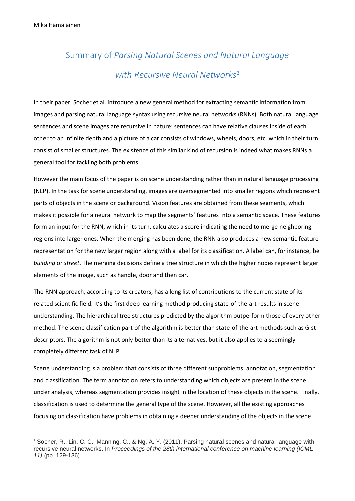$\overline{\phantom{a}}$ 

## Summary of *Parsing Natural Scenes and Natural Language with Recursive Neural Networks<sup>1</sup>*

In their paper, Socher et al. introduce a new general method for extracting semantic information from images and parsing natural language syntax using recursive neural networks (RNNs). Both natural language sentences and scene images are recursive in nature: sentences can have relative clauses inside of each other to an infinite depth and a picture of a car consists of windows, wheels, doors, etc. which in their turn consist of smaller structures. The existence of this similar kind of recursion is indeed what makes RNNs a general tool for tackling both problems.

However the main focus of the paper is on scene understanding rather than in natural language processing (NLP). In the task for scene understanding, images are oversegmented into smaller regions which represent parts of objects in the scene or background. Vision features are obtained from these segments, which makes it possible for a neural network to map the segments' features into a semantic space. These features form an input for the RNN, which in its turn, calculates a score indicating the need to merge neighboring regions into larger ones. When the merging has been done, the RNN also produces a new semantic feature representation for the new larger region along with a label for its classification. A label can, for instance, be *building* or *street*. The merging decisions define a tree structure in which the higher nodes represent larger elements of the image, such as handle, door and then car.

The RNN approach, according to its creators, has a long list of contributions to the current state of its related scientific field. It's the first deep learning method producing state-of-the-art results in scene understanding. The hierarchical tree structures predicted by the algorithm outperform those of every other method. The scene classification part of the algorithm is better than state-of-the-art methods such as Gist descriptors. The algorithm is not only better than its alternatives, but it also applies to a seemingly completely different task of NLP.

Scene understanding is a problem that consists of three different subproblems: annotation, segmentation and classification. The term annotation refers to understanding which objects are present in the scene under analysis, whereas segmentation provides insight in the location of these objects in the scene. Finally, classification is used to determine the general type of the scene. However, all the existing approaches focusing on classification have problems in obtaining a deeper understanding of the objects in the scene.

<sup>1</sup> Socher, R., Lin, C. C., Manning, C., & Ng, A. Y. (2011). Parsing natural scenes and natural language with recursive neural networks. In *Proceedings of the 28th international conference on machine learning (ICML-11)* (pp. 129-136).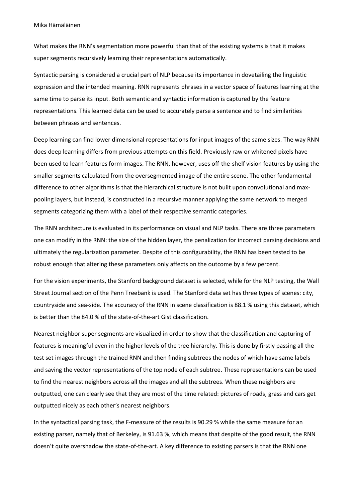What makes the RNN's segmentation more powerful than that of the existing systems is that it makes super segments recursively learning their representations automatically.

Syntactic parsing is considered a crucial part of NLP because its importance in dovetailing the linguistic expression and the intended meaning. RNN represents phrases in a vector space of features learning at the same time to parse its input. Both semantic and syntactic information is captured by the feature representations. This learned data can be used to accurately parse a sentence and to find similarities between phrases and sentences.

Deep learning can find lower dimensional representations for input images of the same sizes. The way RNN does deep learning differs from previous attempts on this field. Previously raw or whitened pixels have been used to learn features form images. The RNN, however, uses off-the-shelf vision features by using the smaller segments calculated from the oversegmented image of the entire scene. The other fundamental difference to other algorithms is that the hierarchical structure is not built upon convolutional and maxpooling layers, but instead, is constructed in a recursive manner applying the same network to merged segments categorizing them with a label of their respective semantic categories.

The RNN architecture is evaluated in its performance on visual and NLP tasks. There are three parameters one can modify in the RNN: the size of the hidden layer, the penalization for incorrect parsing decisions and ultimately the regularization parameter. Despite of this configurability, the RNN has been tested to be robust enough that altering these parameters only affects on the outcome by a few percent.

For the vision experiments, the Stanford background dataset is selected, while for the NLP testing, the Wall Street Journal section of the Penn Treebank is used. The Stanford data set has three types of scenes: city, countryside and sea-side. The accuracy of the RNN in scene classification is 88.1 % using this dataset, which is better than the 84.0 % of the state-of-the-art Gist classification.

Nearest neighbor super segments are visualized in order to show that the classification and capturing of features is meaningful even in the higher levels of the tree hierarchy. This is done by firstly passing all the test set images through the trained RNN and then finding subtrees the nodes of which have same labels and saving the vector representations of the top node of each subtree. These representations can be used to find the nearest neighbors across all the images and all the subtrees. When these neighbors are outputted, one can clearly see that they are most of the time related: pictures of roads, grass and cars get outputted nicely as each other's nearest neighbors.

In the syntactical parsing task, the F-measure of the results is 90.29 % while the same measure for an existing parser, namely that of Berkeley, is 91.63 %, which means that despite of the good result, the RNN doesn't quite overshadow the state-of-the-art. A key difference to existing parsers is that the RNN one